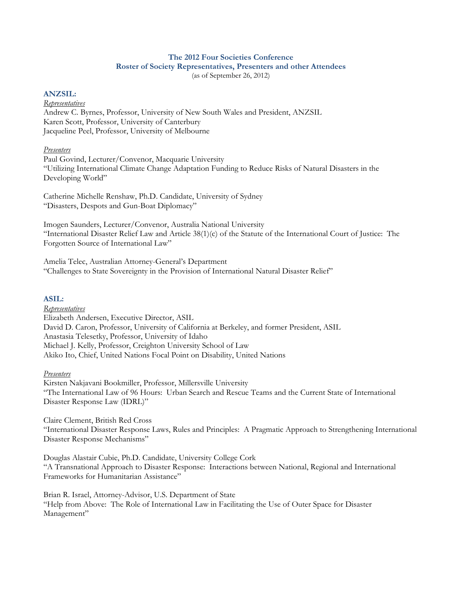#### **The 2012 Four Societies Conference Roster of Society Representatives, Presenters and other Attendees**  (as of September 26, 2012)

### **ANZSIL:**

#### *Representatives*

Andrew C. Byrnes, Professor, University of New South Wales and President, ANZSIL Karen Scott, Professor, University of Canterbury Jacqueline Peel, Professor, University of Melbourne

### *Presenters*

Paul Govind, Lecturer/Convenor, Macquarie University "Utilizing International Climate Change Adaptation Funding to Reduce Risks of Natural Disasters in the Developing World"

Catherine Michelle Renshaw, Ph.D. Candidate, University of Sydney "Disasters, Despots and Gun-Boat Diplomacy"

Imogen Saunders, Lecturer/Convenor, Australia National University "International Disaster Relief Law and Article 38(1)(c) of the Statute of the International Court of Justice: The Forgotten Source of International Law"

Amelia Telec, Australian Attorney-General's Department "Challenges to State Sovereignty in the Provision of International Natural Disaster Relief"

# **ASIL:**

*Representatives*  Elizabeth Andersen, Executive Director, ASIL David D. Caron, Professor, University of California at Berkeley, and former President, ASIL Anastasia Telesetky, Professor, University of Idaho Michael J. Kelly, Professor, Creighton University School of Law Akiko Ito, Chief, United Nations Focal Point on Disability, United Nations

## *Presenters*

Kirsten Nakjavani Bookmiller, Professor, Millersville University "The International Law of 96 Hours: Urban Search and Rescue Teams and the Current State of International Disaster Response Law (IDRL)"

Claire Clement, British Red Cross

"International Disaster Response Laws, Rules and Principles: A Pragmatic Approach to Strengthening International Disaster Response Mechanisms"

Douglas Alastair Cubie, Ph.D. Candidate, University College Cork "A Transnational Approach to Disaster Response: Interactions between National, Regional and International Frameworks for Humanitarian Assistance"

Brian R. Israel, Attorney-Advisor, U.S. Department of State "Help from Above: The Role of International Law in Facilitating the Use of Outer Space for Disaster Management"